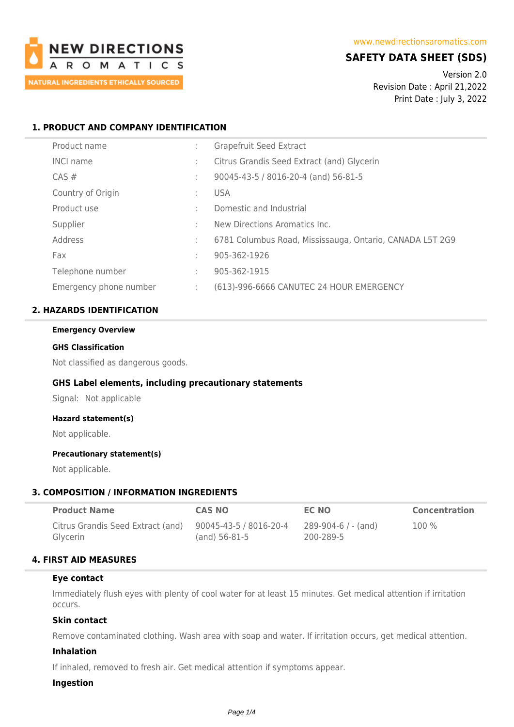

# **SAFETY DATA SHEET (SDS)**

Version 2.0 Revision Date : April 21,2022 Print Date : July 3, 2022

# **1. PRODUCT AND COMPANY IDENTIFICATION**

| Product name           | ÷  | Grapefruit Seed Extract                                  |
|------------------------|----|----------------------------------------------------------|
| <b>INCI name</b>       | ÷  | Citrus Grandis Seed Extract (and) Glycerin               |
| $CAS \#$               | ÷  | 90045-43-5 / 8016-20-4 (and) 56-81-5                     |
| Country of Origin      | ÷. | <b>USA</b>                                               |
| Product use            | ٠. | Domestic and Industrial                                  |
| Supplier               | ÷  | New Directions Aromatics Inc.                            |
| Address                | ÷  | 6781 Columbus Road, Mississauga, Ontario, CANADA L5T 2G9 |
| Fax                    | ÷  | 905-362-1926                                             |
| Telephone number       | ÷  | 905-362-1915                                             |
| Emergency phone number | t. | (613)-996-6666 CANUTEC 24 HOUR EMERGENCY                 |

# **2. HAZARDS IDENTIFICATION**

# **Emergency Overview GHS Classification**

Not classified as dangerous goods.

## **GHS Label elements, including precautionary statements**

Signal: Not applicable

## **Hazard statement(s)**

Not applicable.

## **Precautionary statement(s)**

Not applicable.

## **3. COMPOSITION / INFORMATION INGREDIENTS**

| <b>Product Name</b>               | <b>CAS NO</b>          | EC NO               | <b>Concentration</b> |
|-----------------------------------|------------------------|---------------------|----------------------|
| Citrus Grandis Seed Extract (and) | 90045-43-5 / 8016-20-4 | 289-904-6 / - (and) | $100\%$              |
| Glycerin                          | $(and)$ 56-81-5        | 200-289-5           |                      |

## **4. FIRST AID MEASURES**

#### **Eye contact**

Immediately flush eyes with plenty of cool water for at least 15 minutes. Get medical attention if irritation occurs.

## **Skin contact**

Remove contaminated clothing. Wash area with soap and water. If irritation occurs, get medical attention.

## **Inhalation**

If inhaled, removed to fresh air. Get medical attention if symptoms appear.

### **Ingestion**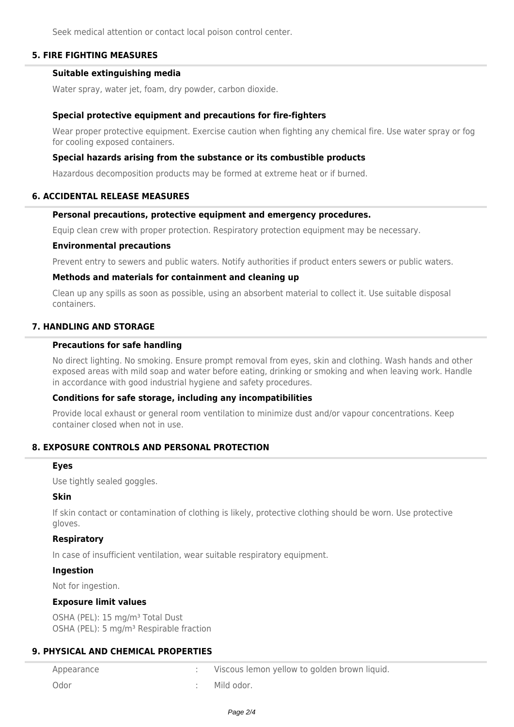Seek medical attention or contact local poison control center.

# **5. FIRE FIGHTING MEASURES**

## **Suitable extinguishing media**

Water spray, water jet, foam, dry powder, carbon dioxide.

### **Special protective equipment and precautions for fire-fighters**

Wear proper protective equipment. Exercise caution when fighting any chemical fire. Use water spray or fog for cooling exposed containers.

### **Special hazards arising from the substance or its combustible products**

Hazardous decomposition products may be formed at extreme heat or if burned.

### **6. ACCIDENTAL RELEASE MEASURES**

## **Personal precautions, protective equipment and emergency procedures.**

Equip clean crew with proper protection. Respiratory protection equipment may be necessary.

### **Environmental precautions**

Prevent entry to sewers and public waters. Notify authorities if product enters sewers or public waters.

### **Methods and materials for containment and cleaning up**

Clean up any spills as soon as possible, using an absorbent material to collect it. Use suitable disposal containers.

# **7. HANDLING AND STORAGE**

### **Precautions for safe handling**

No direct lighting. No smoking. Ensure prompt removal from eyes, skin and clothing. Wash hands and other exposed areas with mild soap and water before eating, drinking or smoking and when leaving work. Handle in accordance with good industrial hygiene and safety procedures.

## **Conditions for safe storage, including any incompatibilities**

Provide local exhaust or general room ventilation to minimize dust and/or vapour concentrations. Keep container closed when not in use.

## **8. EXPOSURE CONTROLS AND PERSONAL PROTECTION**

#### **Eyes**

Use tightly sealed goggles.

## **Skin**

If skin contact or contamination of clothing is likely, protective clothing should be worn. Use protective gloves.

## **Respiratory**

In case of insufficient ventilation, wear suitable respiratory equipment.

## **Ingestion**

Not for ingestion.

## **Exposure limit values**

OSHA (PEL): 15 mg/m<sup>3</sup> Total Dust OSHA (PEL): 5 mg/m<sup>3</sup> Respirable fraction

# **9. PHYSICAL AND CHEMICAL PROPERTIES**

| Appearance | Viscous lemon yellow to golden brown liquid. |
|------------|----------------------------------------------|
| Odor       | Mild odor.                                   |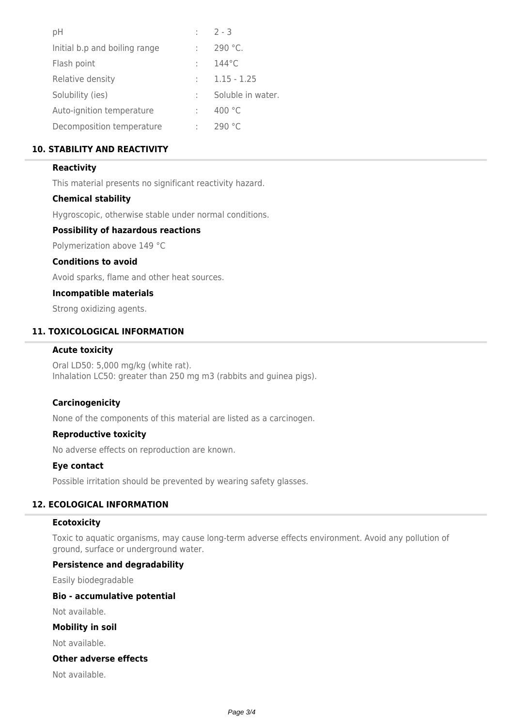| рH                            | $2 - 3$           |
|-------------------------------|-------------------|
| Initial b.p and boiling range | $290 °C$ .        |
| Flash point                   | $144^{\circ}$ C   |
| Relative density              | $1.15 - 1.25$     |
| Solubility (ies)              | Soluble in water. |
| Auto-ignition temperature     | 400 °C            |
| Decomposition temperature     | 290 °C            |

# **10. STABILITY AND REACTIVITY**

# **Reactivity**

This material presents no significant reactivity hazard.

## **Chemical stability**

Hygroscopic, otherwise stable under normal conditions.

### **Possibility of hazardous reactions**

Polymerization above 149 °C

## **Conditions to avoid**

Avoid sparks, flame and other heat sources.

### **Incompatible materials**

Strong oxidizing agents.

# **11. TOXICOLOGICAL INFORMATION**

# **Acute toxicity**

Oral LD50: 5,000 mg/kg (white rat). Inhalation LC50: greater than 250 mg m3 (rabbits and guinea pigs).

## **Carcinogenicity**

None of the components of this material are listed as a carcinogen.

#### **Reproductive toxicity**

No adverse effects on reproduction are known.

### **Eye contact**

Possible irritation should be prevented by wearing safety glasses.

# **12. ECOLOGICAL INFORMATION**

#### **Ecotoxicity**

Toxic to aquatic organisms, may cause long-term adverse effects environment. Avoid any pollution of ground, surface or underground water.

## **Persistence and degradability**

Easily biodegradable

#### **Bio - accumulative potential**

Not available.

## **Mobility in soil**

Not available.

# **Other adverse effects**

Not available.